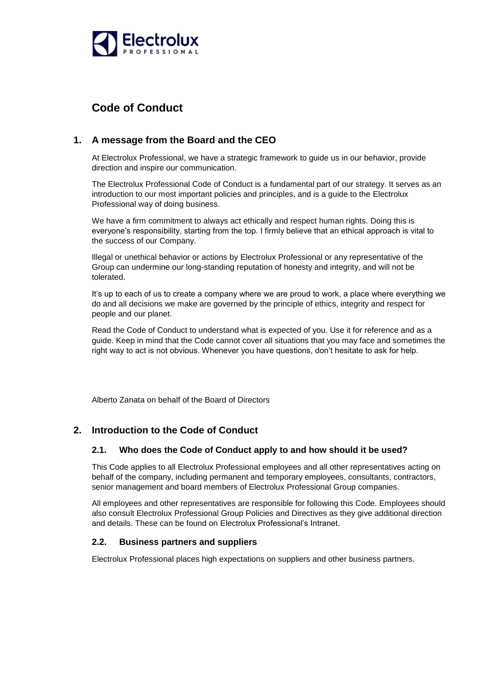

# **Code of Conduct**

# **1. A message from the Board and the CEO**

At Electrolux Professional, we have a strategic framework to guide us in our behavior, provide direction and inspire our communication.

The Electrolux Professional Code of Conduct is a fundamental part of our strategy. It serves as an introduction to our most important policies and principles, and is a guide to the Electrolux Professional way of doing business.

We have a firm commitment to always act ethically and respect human rights. Doing this is everyone's responsibility, starting from the top. I firmly believe that an ethical approach is vital to the success of our Company.

Illegal or unethical behavior or actions by Electrolux Professional or any representative of the Group can undermine our long-standing reputation of honesty and integrity, and will not be tolerated.

It's up to each of us to create a company where we are proud to work, a place where everything we do and all decisions we make are governed by the principle of ethics, integrity and respect for people and our planet.

Read the Code of Conduct to understand what is expected of you. Use it for reference and as a guide. Keep in mind that the Code cannot cover all situations that you may face and sometimes the right way to act is not obvious. Whenever you have questions, don't hesitate to ask for help.

Alberto Zanata on behalf of the Board of Directors

# **2. Introduction to the Code of Conduct**

# **2.1. Who does the Code of Conduct apply to and how should it be used?**

This Code applies to all Electrolux Professional employees and all other representatives acting on behalf of the company, including permanent and temporary employees, consultants, contractors, senior management and board members of Electrolux Professional Group companies.

All employees and other representatives are responsible for following this Code. Employees should also consult Electrolux Professional Group Policies and Directives as they give additional direction and details. These can be found on Electrolux Professional's Intranet.

# **2.2. Business partners and suppliers**

Electrolux Professional places high expectations on suppliers and other business partners.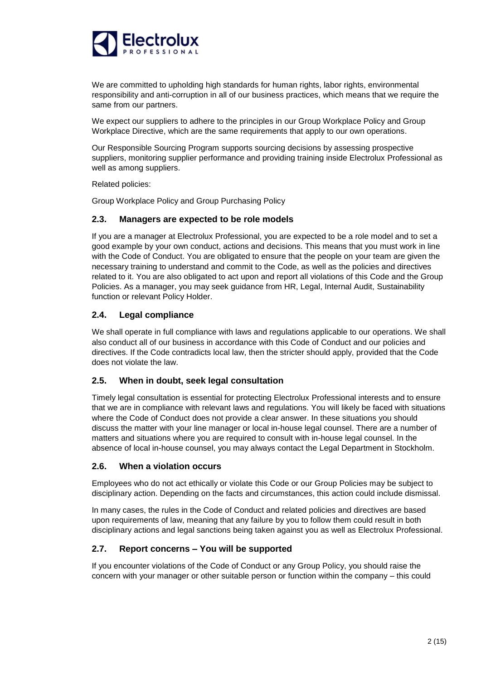

We are committed to upholding high standards for human rights, labor rights, environmental responsibility and anti-corruption in all of our business practices, which means that we require the same from our partners.

We expect our suppliers to adhere to the principles in our Group Workplace Policy and Group Workplace Directive, which are the same requirements that apply to our own operations.

Our Responsible Sourcing Program supports sourcing decisions by assessing prospective suppliers, monitoring supplier performance and providing training inside Electrolux Professional as well as among suppliers.

Related policies:

Group Workplace Policy and Group Purchasing Policy

### **2.3. Managers are expected to be role models**

If you are a manager at Electrolux Professional, you are expected to be a role model and to set a good example by your own conduct, actions and decisions. This means that you must work in line with the Code of Conduct. You are obligated to ensure that the people on your team are given the necessary training to understand and commit to the Code, as well as the policies and directives related to it. You are also obligated to act upon and report all violations of this Code and the Group Policies. As a manager, you may seek guidance from HR, Legal, Internal Audit, Sustainability function or relevant Policy Holder.

# **2.4. Legal compliance**

We shall operate in full compliance with laws and regulations applicable to our operations. We shall also conduct all of our business in accordance with this Code of Conduct and our policies and directives. If the Code contradicts local law, then the stricter should apply, provided that the Code does not violate the law.

### **2.5. When in doubt, seek legal consultation**

Timely legal consultation is essential for protecting Electrolux Professional interests and to ensure that we are in compliance with relevant laws and regulations. You will likely be faced with situations where the Code of Conduct does not provide a clear answer. In these situations you should discuss the matter with your line manager or local in-house legal counsel. There are a number of matters and situations where you are required to consult with in-house legal counsel. In the absence of local in-house counsel, you may always contact the Legal Department in Stockholm.

### **2.6. When a violation occurs**

Employees who do not act ethically or violate this Code or our Group Policies may be subject to disciplinary action. Depending on the facts and circumstances, this action could include dismissal.

In many cases, the rules in the Code of Conduct and related policies and directives are based upon requirements of law, meaning that any failure by you to follow them could result in both disciplinary actions and legal sanctions being taken against you as well as Electrolux Professional.

# **2.7. Report concerns – You will be supported**

If you encounter violations of the Code of Conduct or any Group Policy, you should raise the concern with your manager or other suitable person or function within the company – this could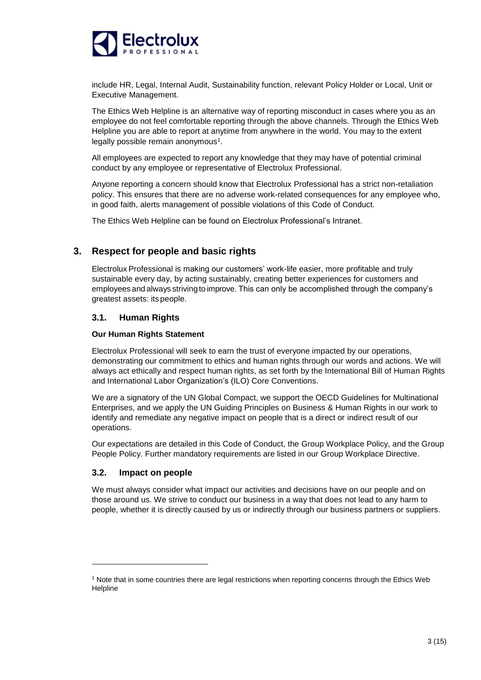

include HR, Legal, Internal Audit, Sustainability function, relevant Policy Holder or Local, Unit or Executive Management.

The Ethics Web Helpline is an alternative way of reporting misconduct in cases where you as an employee do not feel comfortable reporting through the above channels. Through the Ethics Web Helpline you are able to report at anytime from anywhere in the world. You may to the extent legally possible remain anonymous<sup>1</sup>.

All employees are expected to report any knowledge that they may have of potential criminal conduct by any employee or representative of Electrolux Professional.

Anyone reporting a concern should know that Electrolux Professional has a strict non-retaliation policy. This ensures that there are no adverse work-related consequences for any employee who, in good faith, alerts management of possible violations of this Code of Conduct.

The Ethics Web Helpline can be found on Electrolux Professional's Intranet.

# **3. Respect for people and basic rights**

Electrolux Professional is making our customers' work-life easier, more profitable and truly sustainable every day, by acting sustainably, creating better experiences for customers and employees and always strivingto improve. This can only be accomplished through the company's greatest assets: its people.

### **3.1. Human Rights**

### **Our Human Rights Statement**

Electrolux Professional will seek to earn the trust of everyone impacted by our operations, demonstrating our commitment to ethics and human rights through our words and actions. We will always act ethically and respect human rights, as set forth by the International Bill of Human Rights and International Labor Organization's (ILO) Core Conventions.

We are a signatory of the UN Global Compact, we support the OECD Guidelines for Multinational Enterprises, and we apply the UN Guiding Principles on Business & Human Rights in our work to identify and remediate any negative impact on people that is a direct or indirect result of our operations.

Our expectations are detailed in this Code of Conduct, the Group Workplace Policy, and the Group People Policy. Further mandatory requirements are listed in our Group Workplace Directive.

# **3.2. Impact on people**

-

We must always consider what impact our activities and decisions have on our people and on those around us. We strive to conduct our business in a way that does not lead to any harm to people, whether it is directly caused by us or indirectly through our business partners or suppliers.

<sup>1</sup> Note that in some countries there are legal restrictions when reporting concerns through the Ethics Web **Helpline**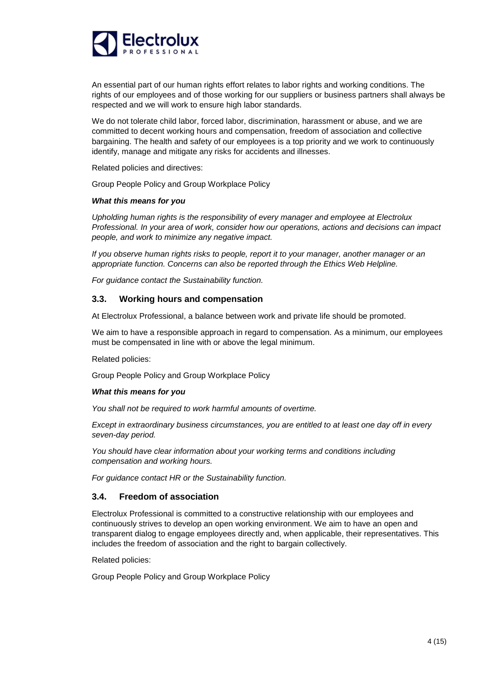

An essential part of our human rights effort relates to labor rights and working conditions. The rights of our employees and of those working for our suppliers or business partners shall always be respected and we will work to ensure high labor standards.

We do not tolerate child labor, forced labor, discrimination, harassment or abuse, and we are committed to decent working hours and compensation, freedom of association and collective bargaining. The health and safety of our employees is a top priority and we work to continuously identify, manage and mitigate any risks for accidents and illnesses.

Related policies and directives:

Group People Policy and Group Workplace Policy

#### *What this means for you*

*Upholding human rights is the responsibility of every manager and employee at Electrolux Professional. In your area of work, consider how our operations, actions and decisions can impact people, and work to minimize any negative impact.*

*If you observe human rights risks to people, report it to your manager, another manager or an appropriate function. Concerns can also be reported through the Ethics Web Helpline.*

*For guidance contact the Sustainability function.*

#### **3.3. Working hours and compensation**

At Electrolux Professional, a balance between work and private life should be promoted.

We aim to have a responsible approach in regard to compensation. As a minimum, our employees must be compensated in line with or above the legal minimum.

Related policies:

Group People Policy and Group Workplace Policy

#### *What this means for you*

*You shall not be required to work harmful amounts of overtime.*

*Except in extraordinary business circumstances, you are entitled to at least one day off in every seven-day period.*

*You should have clear information about your working terms and conditions including compensation and working hours.*

*For guidance contact HR or the Sustainability function.*

#### **3.4. Freedom of association**

Electrolux Professional is committed to a constructive relationship with our employees and continuously strives to develop an open working environment. We aim to have an open and transparent dialog to engage employees directly and, when applicable, their representatives. This includes the freedom of association and the right to bargain collectively.

Related policies:

Group People Policy and Group Workplace Policy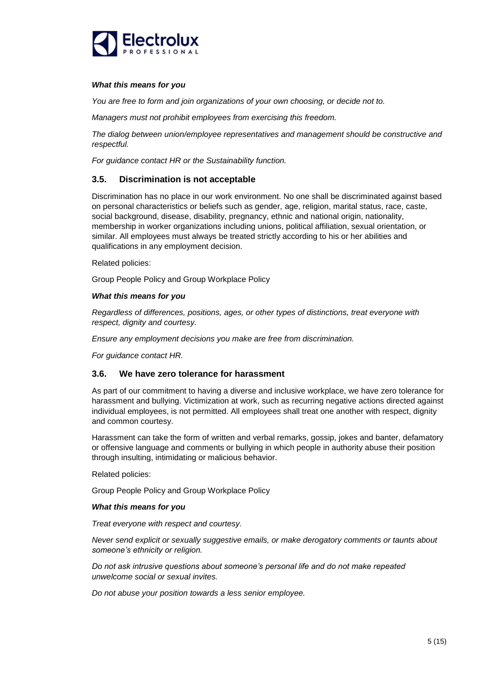

#### *What this means for you*

*You are free to form and join organizations of your own choosing, or decide not to.*

*Managers must not prohibit employees from exercising this freedom.*

*The dialog between union/employee representatives and management should be constructive and respectful.*

*For guidance contact HR or the Sustainability function.*

### **3.5. Discrimination is not acceptable**

Discrimination has no place in our work environment. No one shall be discriminated against based on personal characteristics or beliefs such as gender, age, religion, marital status, race, caste, social background, disease, disability, pregnancy, ethnic and national origin, nationality, membership in worker organizations including unions, political affiliation, sexual orientation, or similar. All employees must always be treated strictly according to his or her abilities and qualifications in any employment decision.

### Related policies:

Group People Policy and Group Workplace Policy

### *What this means for you*

*Regardless of differences, positions, ages, or other types of distinctions, treat everyone with respect, dignity and courtesy.*

*Ensure any employment decisions you make are free from discrimination.*

*For guidance contact HR.*

### **3.6. We have zero tolerance for harassment**

As part of our commitment to having a diverse and inclusive workplace, we have zero tolerance for harassment and bullying. Victimization at work, such as recurring negative actions directed against individual employees, is not permitted. All employees shall treat one another with respect, dignity and common courtesy.

Harassment can take the form of written and verbal remarks, gossip, jokes and banter, defamatory or offensive language and comments or bullying in which people in authority abuse their position through insulting, intimidating or malicious behavior.

Related policies:

Group People Policy and Group Workplace Policy

### *What this means for you*

*Treat everyone with respect and courtesy.*

*Never send explicit or sexually suggestive emails, or make derogatory comments or taunts about someone's ethnicity or religion.*

*Do not ask intrusive questions about someone's personal life and do not make repeated unwelcome social or sexual invites.*

*Do not abuse your position towards a less senior employee.*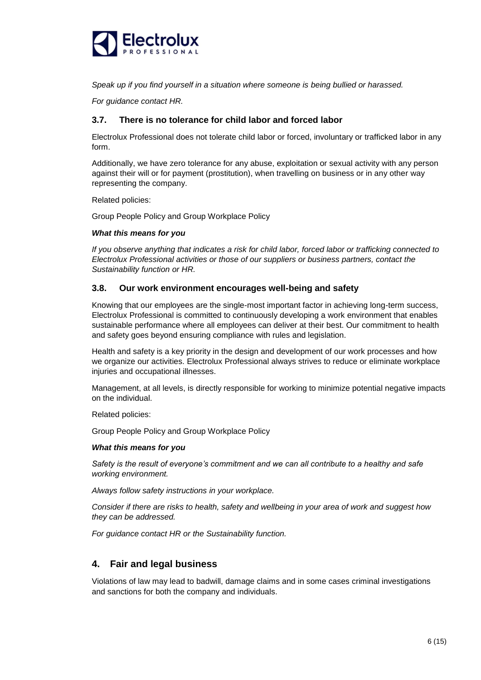

*Speak up if you find yourself in a situation where someone is being bullied or harassed.*

*For guidance contact HR.*

### **3.7. There is no tolerance for child labor and forced labor**

Electrolux Professional does not tolerate child labor or forced, involuntary or trafficked labor in any form.

Additionally, we have zero tolerance for any abuse, exploitation or sexual activity with any person against their will or for payment (prostitution), when travelling on business or in any other way representing the company.

Related policies:

Group People Policy and Group Workplace Policy

### *What this means for you*

*If you observe anything that indicates a risk for child labor, forced labor or trafficking connected to Electrolux Professional activities or those of our suppliers or business partners, contact the Sustainability function or HR.*

### **3.8. Our work environment encourages well-being and safety**

Knowing that our employees are the single-most important factor in achieving long-term success, Electrolux Professional is committed to continuously developing a work environment that enables sustainable performance where all employees can deliver at their best. Our commitment to health and safety goes beyond ensuring compliance with rules and legislation.

Health and safety is a key priority in the design and development of our work processes and how we organize our activities. Electrolux Professional always strives to reduce or eliminate workplace injuries and occupational illnesses.

Management, at all levels, is directly responsible for working to minimize potential negative impacts on the individual.

Related policies:

Group People Policy and Group Workplace Policy

### *What this means for you*

*Safety is the result of everyone's commitment and we can all contribute to a healthy and safe working environment.*

*Always follow safety instructions in your workplace.*

*Consider if there are risks to health, safety and wellbeing in your area of work and suggest how they can be addressed.*

*For guidance contact HR or the Sustainability function.*

# **4. Fair and legal business**

Violations of law may lead to badwill, damage claims and in some cases criminal investigations and sanctions for both the company and individuals.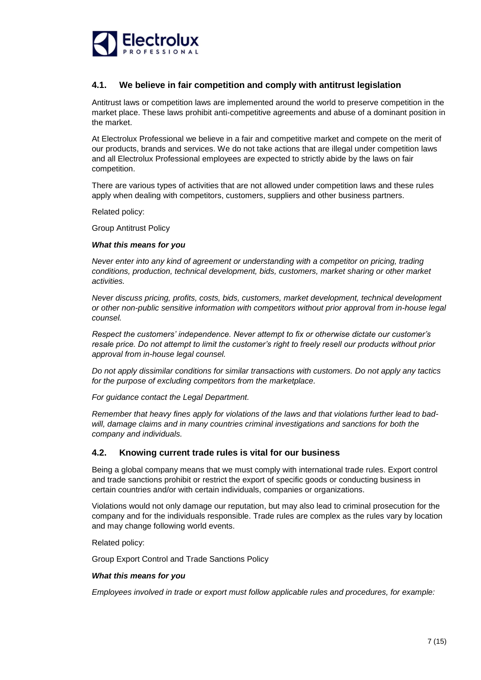

# **4.1. We believe in fair competition and comply with antitrust legislation**

Antitrust laws or competition laws are implemented around the world to preserve competition in the market place. These laws prohibit anti-competitive agreements and abuse of a dominant position in the market.

At Electrolux Professional we believe in a fair and competitive market and compete on the merit of our products, brands and services. We do not take actions that are illegal under competition laws and all Electrolux Professional employees are expected to strictly abide by the laws on fair competition.

There are various types of activities that are not allowed under competition laws and these rules apply when dealing with competitors, customers, suppliers and other business partners.

Related policy:

Group Antitrust Policy

#### *What this means for you*

*Never enter into any kind of agreement or understanding with a competitor on pricing, trading conditions, production, technical development, bids, customers, market sharing or other market activities.*

*Never discuss pricing, profits, costs, bids, customers, market development, technical development or other non-public sensitive information with competitors without prior approval from in-house legal counsel.*

*Respect the customers' independence. Never attempt to fix or otherwise dictate our customer's resale price. Do not attempt to limit the customer's right to freely resell our products without prior approval from in-house legal counsel.*

*Do not apply dissimilar conditions for similar transactions with customers. Do not apply any tactics for the purpose of excluding competitors from the marketplace.*

*For guidance contact the Legal Department.*

*Remember that heavy fines apply for violations of the laws and that violations further lead to badwill, damage claims and in many countries criminal investigations and sanctions for both the company and individuals.*

### **4.2. Knowing current trade rules is vital for our business**

Being a global company means that we must comply with international trade rules. Export control and trade sanctions prohibit or restrict the export of specific goods or conducting business in certain countries and/or with certain individuals, companies or organizations.

Violations would not only damage our reputation, but may also lead to criminal prosecution for the company and for the individuals responsible. Trade rules are complex as the rules vary by location and may change following world events.

Related policy:

Group Export Control and Trade Sanctions Policy

#### *What this means for you*

*Employees involved in trade or export must follow applicable rules and procedures, for example:*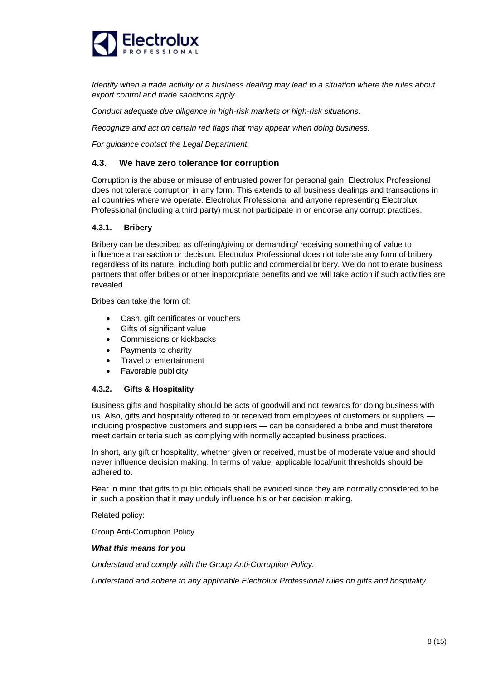

*Identify when a trade activity or a business dealing may lead to a situation where the rules about export control and trade sanctions apply.*

*Conduct adequate due diligence in high-risk markets or high-risk situations.*

*Recognize and act on certain red flags that may appear when doing business.*

*For guidance contact the Legal Department.*

### **4.3. We have zero tolerance for corruption**

Corruption is the abuse or misuse of entrusted power for personal gain. Electrolux Professional does not tolerate corruption in any form. This extends to all business dealings and transactions in all countries where we operate. Electrolux Professional and anyone representing Electrolux Professional (including a third party) must not participate in or endorse any corrupt practices.

### **4.3.1. Bribery**

Bribery can be described as offering/giving or demanding/ receiving something of value to influence a transaction or decision. Electrolux Professional does not tolerate any form of bribery regardless of its nature, including both public and commercial bribery. We do not tolerate business partners that offer bribes or other inappropriate benefits and we will take action if such activities are revealed.

Bribes can take the form of:

- Cash, gift certificates or vouchers
- Gifts of significant value
- Commissions or kickbacks
- Payments to charity
- Travel or entertainment
- Favorable publicity

### **4.3.2. Gifts & Hospitality**

Business gifts and hospitality should be acts of goodwill and not rewards for doing business with us. Also, gifts and hospitality offered to or received from employees of customers or suppliers including prospective customers and suppliers — can be considered a bribe and must therefore meet certain criteria such as complying with normally accepted business practices.

In short, any gift or hospitality, whether given or received, must be of moderate value and should never influence decision making. In terms of value, applicable local/unit thresholds should be adhered to.

Bear in mind that gifts to public officials shall be avoided since they are normally considered to be in such a position that it may unduly influence his or her decision making.

Related policy:

Group Anti-Corruption Policy

#### *What this means for you*

*Understand and comply with the Group Anti-Corruption Policy.*

*Understand and adhere to any applicable Electrolux Professional rules on gifts and hospitality.*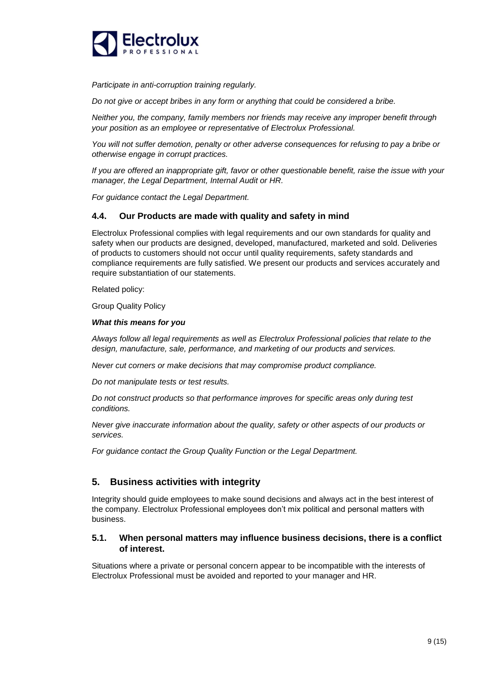

*Participate in anti-corruption training regularly.*

*Do not give or accept bribes in any form or anything that could be considered a bribe.*

*Neither you, the company, family members nor friends may receive any improper benefit through your position as an employee or representative of Electrolux Professional.*

*You will not suffer demotion, penalty or other adverse consequences for refusing to pay a bribe or otherwise engage in corrupt practices.*

*If you are offered an inappropriate gift, favor or other questionable benefit, raise the issue with your manager, the Legal Department, Internal Audit or HR.*

*For guidance contact the Legal Department.*

### **4.4. Our Products are made with quality and safety in mind**

Electrolux Professional complies with legal requirements and our own standards for quality and safety when our products are designed, developed, manufactured, marketed and sold. Deliveries of products to customers should not occur until quality requirements, safety standards and compliance requirements are fully satisfied. We present our products and services accurately and require substantiation of our statements.

Related policy:

Group Quality Policy

### *What this means for you*

*Always follow all legal requirements as well as Electrolux Professional policies that relate to the design, manufacture, sale, performance, and marketing of our products and services.*

*Never cut corners or make decisions that may compromise product compliance.*

*Do not manipulate tests or test results.*

*Do not construct products so that performance improves for specific areas only during test conditions.*

*Never give inaccurate information about the quality, safety or other aspects of our products or services.*

*For guidance contact the Group Quality Function or the Legal Department.*

# **5. Business activities with integrity**

Integrity should guide employees to make sound decisions and always act in the best interest of the company. Electrolux Professional employees don't mix political and personal matters with business.

### **5.1. When personal matters may influence business decisions, there is a conflict of interest.**

Situations where a private or personal concern appear to be incompatible with the interests of Electrolux Professional must be avoided and reported to your manager and HR.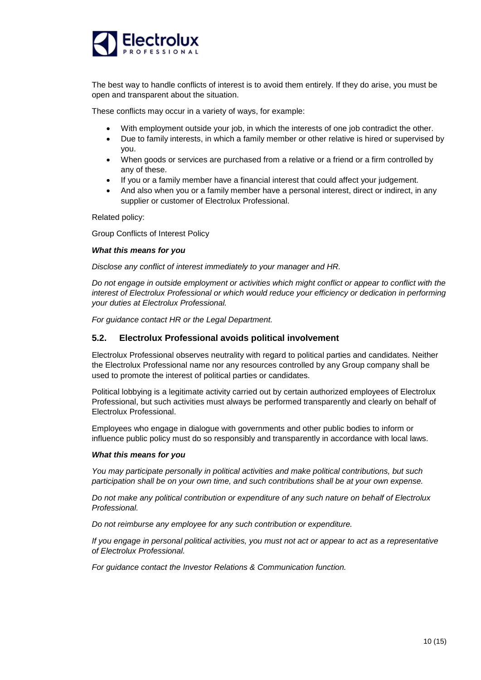

The best way to handle conflicts of interest is to avoid them entirely. If they do arise, you must be open and transparent about the situation.

These conflicts may occur in a variety of ways, for example:

- With employment outside your job, in which the interests of one job contradict the other.
- Due to family interests, in which a family member or other relative is hired or supervised by you.
- When goods or services are purchased from a relative or a friend or a firm controlled by any of these.
- If you or a family member have a financial interest that could affect your judgement.
- And also when you or a family member have a personal interest, direct or indirect, in any supplier or customer of Electrolux Professional.

Related policy:

Group Conflicts of Interest Policy

### *What this means for you*

*Disclose any conflict of interest immediately to your manager and HR.*

*Do not engage in outside employment or activities which might conflict or appear to conflict with the interest of Electrolux Professional or which would reduce your efficiency or dedication in performing your duties at Electrolux Professional.*

*For guidance contact HR or the Legal Department.*

### **5.2. Electrolux Professional avoids political involvement**

Electrolux Professional observes neutrality with regard to political parties and candidates. Neither the Electrolux Professional name nor any resources controlled by any Group company shall be used to promote the interest of political parties or candidates.

Political lobbying is a legitimate activity carried out by certain authorized employees of Electrolux Professional, but such activities must always be performed transparently and clearly on behalf of Electrolux Professional.

Employees who engage in dialogue with governments and other public bodies to inform or influence public policy must do so responsibly and transparently in accordance with local laws.

#### *What this means for you*

*You may participate personally in political activities and make political contributions, but such participation shall be on your own time, and such contributions shall be at your own expense.*

*Do not make any political contribution or expenditure of any such nature on behalf of Electrolux Professional.*

*Do not reimburse any employee for any such contribution or expenditure.*

*If you engage in personal political activities, you must not act or appear to act as a representative of Electrolux Professional.*

*For guidance contact the Investor Relations & Communication function.*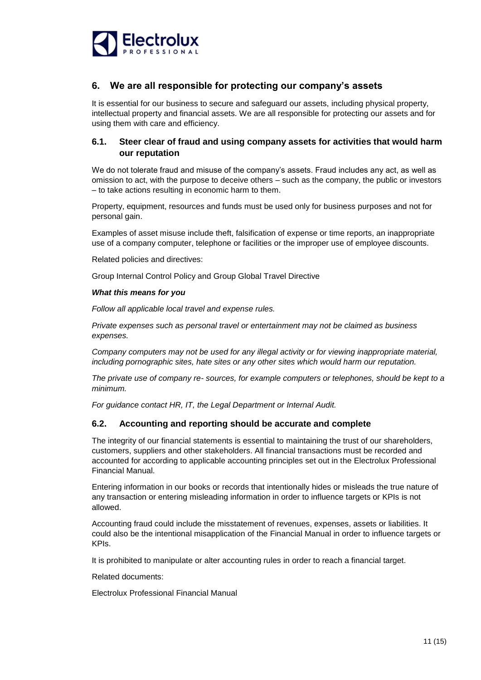

# **6. We are all responsible for protecting our company's assets**

It is essential for our business to secure and safeguard our assets, including physical property, intellectual property and financial assets. We are all responsible for protecting our assets and for using them with care and efficiency.

# **6.1. Steer clear of fraud and using company assets for activities that would harm our reputation**

We do not tolerate fraud and misuse of the company's assets. Fraud includes any act, as well as omission to act, with the purpose to deceive others – such as the company, the public or investors – to take actions resulting in economic harm to them.

Property, equipment, resources and funds must be used only for business purposes and not for personal gain.

Examples of asset misuse include theft, falsification of expense or time reports, an inappropriate use of a company computer, telephone or facilities or the improper use of employee discounts.

Related policies and directives:

Group Internal Control Policy and Group Global Travel Directive

### *What this means for you*

*Follow all applicable local travel and expense rules.*

*Private expenses such as personal travel or entertainment may not be claimed as business expenses.*

*Company computers may not be used for any illegal activity or for viewing inappropriate material, including pornographic sites, hate sites or any other sites which would harm our reputation.*

*The private use of company re- sources, for example computers or telephones, should be kept to a minimum.*

*For guidance contact HR, IT, the Legal Department or Internal Audit.*

### **6.2. Accounting and reporting should be accurate and complete**

The integrity of our financial statements is essential to maintaining the trust of our shareholders, customers, suppliers and other stakeholders. All financial transactions must be recorded and accounted for according to applicable accounting principles set out in the Electrolux Professional Financial Manual.

Entering information in our books or records that intentionally hides or misleads the true nature of any transaction or entering misleading information in order to influence targets or KPIs is not allowed.

Accounting fraud could include the misstatement of revenues, expenses, assets or liabilities. It could also be the intentional misapplication of the Financial Manual in order to influence targets or KPIs.

It is prohibited to manipulate or alter accounting rules in order to reach a financial target.

Related documents:

Electrolux Professional Financial Manual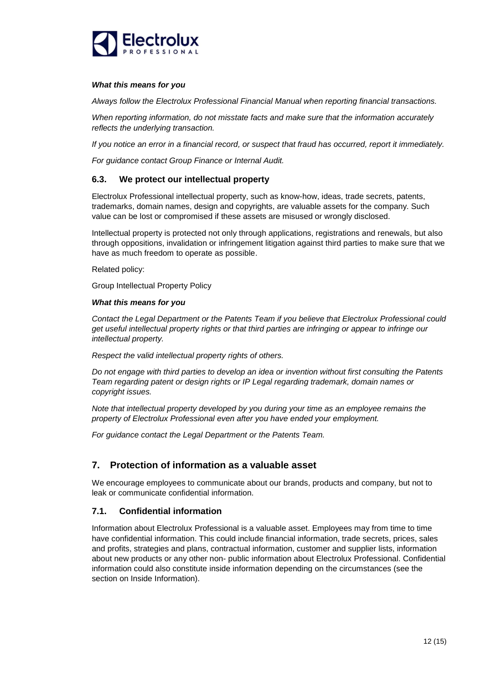

#### *What this means for you*

*Always follow the Electrolux Professional Financial Manual when reporting financial transactions.*

*When reporting information, do not misstate facts and make sure that the information accurately reflects the underlying transaction.*

*If you notice an error in a financial record, or suspect that fraud has occurred, report it immediately.*

*For guidance contact Group Finance or Internal Audit.*

### **6.3. We protect our intellectual property**

Electrolux Professional intellectual property, such as know-how, ideas, trade secrets, patents, trademarks, domain names, design and copyrights, are valuable assets for the company. Such value can be lost or compromised if these assets are misused or wrongly disclosed.

Intellectual property is protected not only through applications, registrations and renewals, but also through oppositions, invalidation or infringement litigation against third parties to make sure that we have as much freedom to operate as possible.

Related policy:

Group Intellectual Property Policy

### *What this means for you*

*Contact the Legal Department or the Patents Team if you believe that Electrolux Professional could get useful intellectual property rights or that third parties are infringing or appear to infringe our intellectual property.*

*Respect the valid intellectual property rights of others.*

*Do not engage with third parties to develop an idea or invention without first consulting the Patents Team regarding patent or design rights or IP Legal regarding trademark, domain names or copyright issues.*

*Note that intellectual property developed by you during your time as an employee remains the property of Electrolux Professional even after you have ended your employment.*

*For guidance contact the Legal Department or the Patents Team.*

# **7. Protection of information as a valuable asset**

We encourage employees to communicate about our brands, products and company, but not to leak or communicate confidential information.

### **7.1. Confidential information**

Information about Electrolux Professional is a valuable asset. Employees may from time to time have confidential information. This could include financial information, trade secrets, prices, sales and profits, strategies and plans, contractual information, customer and supplier lists, information about new products or any other non- public information about Electrolux Professional. Confidential information could also constitute inside information depending on the circumstances (see the section on Inside Information).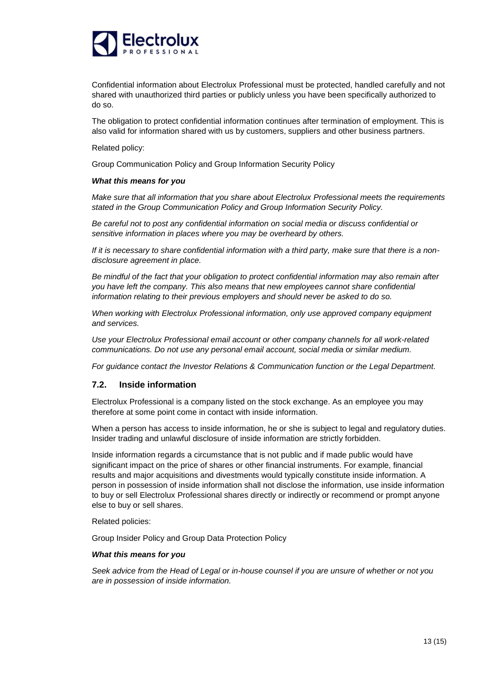

Confidential information about Electrolux Professional must be protected, handled carefully and not shared with unauthorized third parties or publicly unless you have been specifically authorized to do so.

The obligation to protect confidential information continues after termination of employment. This is also valid for information shared with us by customers, suppliers and other business partners.

Related policy:

Group Communication Policy and Group Information Security Policy

### *What this means for you*

*Make sure that all information that you share about Electrolux Professional meets the requirements stated in the Group Communication Policy and Group Information Security Policy.*

*Be careful not to post any confidential information on social media or discuss confidential or sensitive information in places where you may be overheard by others.*

*If it is necessary to share confidential information with a third party, make sure that there is a nondisclosure agreement in place.*

*Be mindful of the fact that your obligation to protect confidential information may also remain after you have left the company. This also means that new employees cannot share confidential information relating to their previous employers and should never be asked to do so.*

*When working with Electrolux Professional information, only use approved company equipment and services.*

*Use your Electrolux Professional email account or other company channels for all work-related communications. Do not use any personal email account, social media or similar medium.*

*For guidance contact the Investor Relations & Communication function or the Legal Department.*

# **7.2. Inside information**

Electrolux Professional is a company listed on the stock exchange. As an employee you may therefore at some point come in contact with inside information.

When a person has access to inside information, he or she is subject to legal and regulatory duties. Insider trading and unlawful disclosure of inside information are strictly forbidden.

Inside information regards a circumstance that is not public and if made public would have significant impact on the price of shares or other financial instruments. For example, financial results and major acquisitions and divestments would typically constitute inside information. A person in possession of inside information shall not disclose the information, use inside information to buy or sell Electrolux Professional shares directly or indirectly or recommend or prompt anyone else to buy or sell shares.

Related policies:

Group Insider Policy and Group Data Protection Policy

#### *What this means for you*

*Seek advice from the Head of Legal or in-house counsel if you are unsure of whether or not you are in possession of inside information.*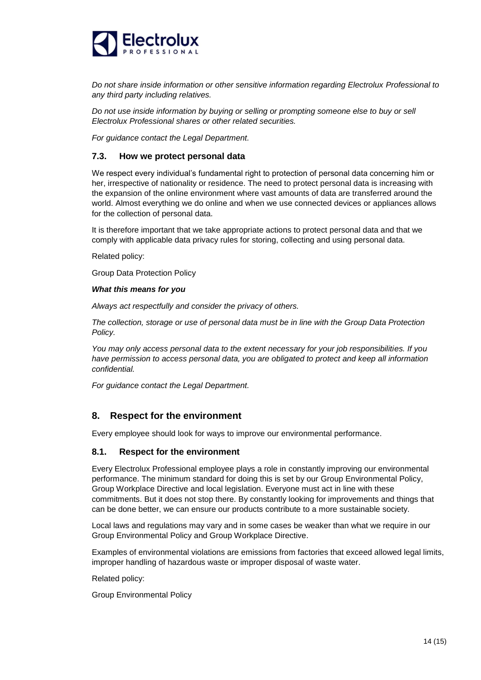

*Do not share inside information or other sensitive information regarding Electrolux Professional to any third party including relatives.*

*Do not use inside information by buying or selling or prompting someone else to buy or sell Electrolux Professional shares or other related securities.*

*For guidance contact the Legal Department.*

### **7.3. How we protect personal data**

We respect every individual's fundamental right to protection of personal data concerning him or her, irrespective of nationality or residence. The need to protect personal data is increasing with the expansion of the online environment where vast amounts of data are transferred around the world. Almost everything we do online and when we use connected devices or appliances allows for the collection of personal data.

It is therefore important that we take appropriate actions to protect personal data and that we comply with applicable data privacy rules for storing, collecting and using personal data.

Related policy:

Group Data Protection Policy

#### *What this means for you*

*Always act respectfully and consider the privacy of others.*

*The collection, storage or use of personal data must be in line with the Group Data Protection Policy.*

*You may only access personal data to the extent necessary for your job responsibilities. If you have permission to access personal data, you are obligated to protect and keep all information confidential.*

*For guidance contact the Legal Department.*

# **8. Respect for the environment**

Every employee should look for ways to improve our environmental performance.

### **8.1. Respect for the environment**

Every Electrolux Professional employee plays a role in constantly improving our environmental performance. The minimum standard for doing this is set by our Group Environmental Policy, Group Workplace Directive and local legislation. Everyone must act in line with these commitments. But it does not stop there. By constantly looking for improvements and things that can be done better, we can ensure our products contribute to a more sustainable society.

Local laws and regulations may vary and in some cases be weaker than what we require in our Group Environmental Policy and Group Workplace Directive.

Examples of environmental violations are emissions from factories that exceed allowed legal limits, improper handling of hazardous waste or improper disposal of waste water.

Related policy:

Group Environmental Policy